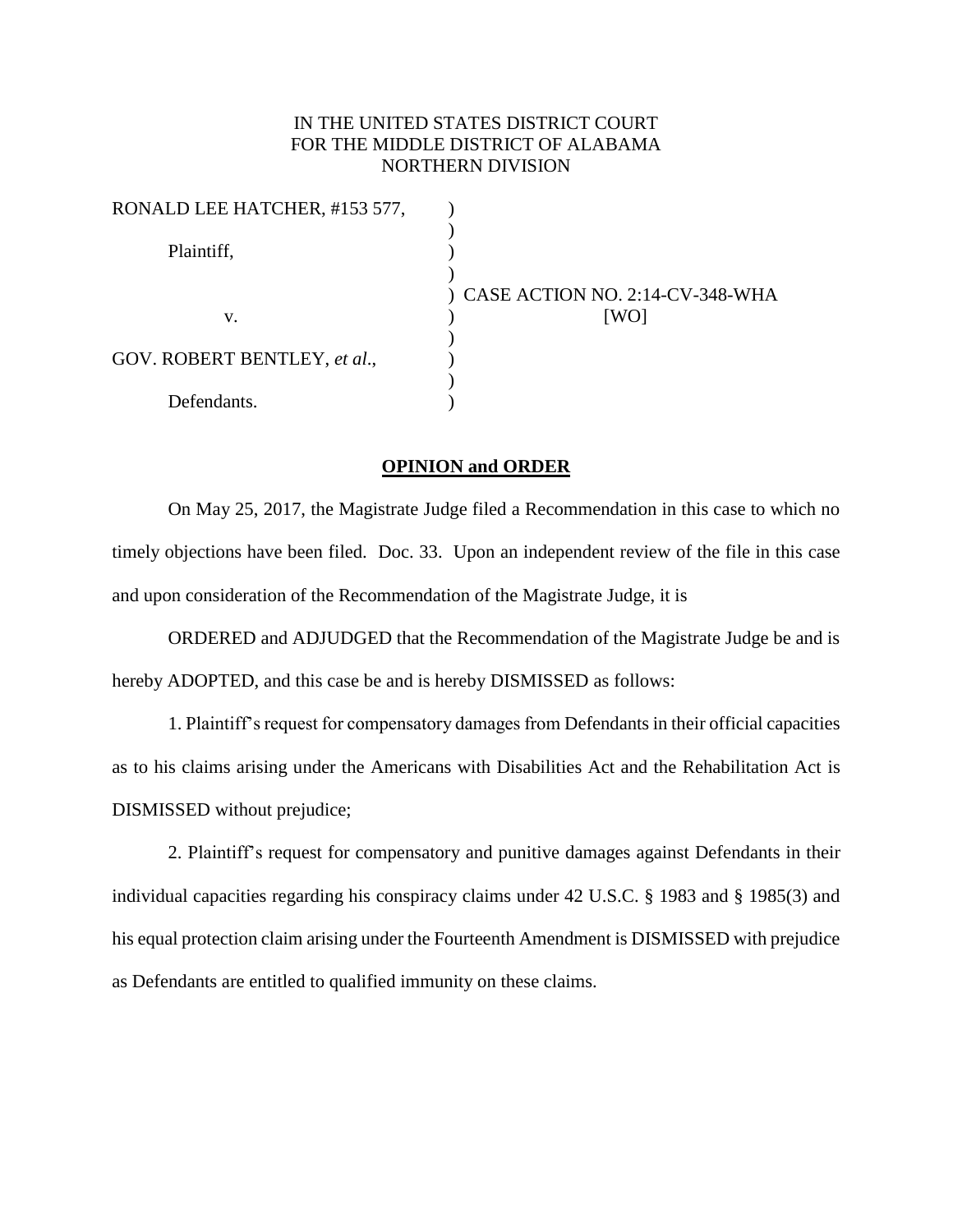## IN THE UNITED STATES DISTRICT COURT FOR THE MIDDLE DISTRICT OF ALABAMA NORTHERN DIVISION

| RONALD LEE HATCHER, #153 577, |                                   |
|-------------------------------|-----------------------------------|
| Plaintiff,                    |                                   |
|                               | ) CASE ACTION NO. 2:14-CV-348-WHA |
| v.                            | [WO]                              |
|                               |                                   |
| GOV. ROBERT BENTLEY, et al.,  |                                   |
|                               |                                   |
| Defendants.                   |                                   |

## **OPINION and ORDER**

On May 25, 2017, the Magistrate Judge filed a Recommendation in this case to which no timely objections have been filed. Doc. 33. Upon an independent review of the file in this case and upon consideration of the Recommendation of the Magistrate Judge, it is

ORDERED and ADJUDGED that the Recommendation of the Magistrate Judge be and is hereby ADOPTED, and this case be and is hereby DISMISSED as follows:

1. Plaintiff's request for compensatory damages from Defendants in their official capacities as to his claims arising under the Americans with Disabilities Act and the Rehabilitation Act is DISMISSED without prejudice;

2. Plaintiff's request for compensatory and punitive damages against Defendants in their individual capacities regarding his conspiracy claims under 42 U.S.C. § 1983 and § 1985(3) and his equal protection claim arising under the Fourteenth Amendment is DISMISSED with prejudice as Defendants are entitled to qualified immunity on these claims.